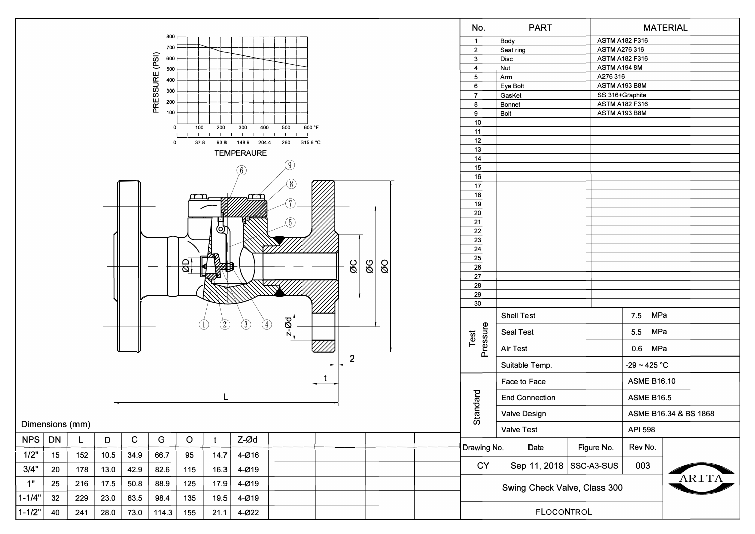|                                                                 |                                                   |     |      |             |               |                |               |                   |        |                              |                       | No.               | <b>PART</b>           |                       |                         |                       | <b>MATERIAL</b> |  |
|-----------------------------------------------------------------|---------------------------------------------------|-----|------|-------------|---------------|----------------|---------------|-------------------|--------|------------------------------|-----------------------|-------------------|-----------------------|-----------------------|-------------------------|-----------------------|-----------------|--|
|                                                                 |                                                   |     |      |             | 800           |                |               |                   |        |                              |                       | $\mathbf{1}$      | Body                  |                       | <b>ASTM A182 F316</b>   |                       |                 |  |
|                                                                 | 700                                               |     |      |             |               |                |               |                   |        |                              |                       | $\overline{2}$    | Seat ring             | ASTM A276 316         |                         |                       |                 |  |
|                                                                 |                                                   |     |      |             | 600           |                |               |                   |        |                              |                       | $\mathbf{3}$      | Disc                  | <b>ASTM A182 F316</b> |                         |                       |                 |  |
|                                                                 | 500                                               |     |      |             |               |                |               |                   |        |                              |                       |                   | Nut<br>$\overline{4}$ |                       |                         | ASTM A194 8M          |                 |  |
| PRESSURE (PSI)<br>400                                           |                                                   |     |      |             |               |                |               |                   |        |                              |                       |                   | Arm<br>5              |                       |                         | A276 316              |                 |  |
|                                                                 |                                                   |     |      |             |               |                |               |                   |        |                              |                       |                   | Eye Bolt<br>6         |                       |                         | ASTM A193 B8M         |                 |  |
|                                                                 |                                                   |     |      |             | 300           |                |               | $\overline{7}$    | GasKet |                              | SS 316+Graphite       |                   |                       |                       |                         |                       |                 |  |
|                                                                 |                                                   |     |      |             | 200           |                |               | 8                 | Bonnet |                              | <b>ASTM A182 F316</b> |                   |                       |                       |                         |                       |                 |  |
|                                                                 |                                                   |     |      |             | 100           |                |               | 9                 | Bolt   |                              | ASTM A193 B8M         |                   |                       |                       |                         |                       |                 |  |
|                                                                 |                                                   |     |      |             |               |                |               | 10                |        |                              |                       |                   |                       |                       |                         |                       |                 |  |
|                                                                 |                                                   |     |      |             | $\mathbf 0$   | 100            | 200           | 11                |        |                              |                       |                   |                       |                       |                         |                       |                 |  |
|                                                                 |                                                   |     |      |             |               | $\blacksquare$ | $\mathbf{L}$  | 12                |        |                              |                       |                   |                       |                       |                         |                       |                 |  |
|                                                                 |                                                   |     |      |             | $\mathbf 0$   | 37.8           | 93.8          | 13                |        |                              |                       |                   |                       |                       |                         |                       |                 |  |
|                                                                 |                                                   |     |      |             |               |                |               | <b>TEMPERAURE</b> |        |                              |                       | 14                |                       |                       |                         |                       |                 |  |
|                                                                 |                                                   |     |      |             |               |                |               |                   | (9)    |                              |                       | 15                |                       |                       |                         |                       |                 |  |
|                                                                 |                                                   |     |      |             |               |                |               | (6)               |        |                              |                       | 16                |                       |                       |                         |                       |                 |  |
|                                                                 |                                                   |     |      |             |               |                |               |                   | (8)    |                              |                       | 17                |                       |                       |                         |                       |                 |  |
|                                                                 | متصمر<br>m                                        |     |      |             |               |                |               |                   |        |                              |                       | 18                |                       |                       |                         |                       |                 |  |
|                                                                 |                                                   |     |      |             |               |                |               |                   |        |                              |                       | 19                |                       |                       |                         |                       |                 |  |
|                                                                 |                                                   |     |      |             |               |                |               |                   |        |                              |                       | 20                |                       |                       |                         |                       |                 |  |
|                                                                 |                                                   |     |      |             |               |                |               |                   |        |                              |                       | 21                |                       |                       |                         |                       |                 |  |
|                                                                 |                                                   |     |      |             |               |                | O)            |                   | 5)     |                              |                       | 22                |                       |                       |                         |                       |                 |  |
|                                                                 |                                                   |     |      |             |               |                |               |                   |        |                              |                       | 23                |                       |                       |                         |                       |                 |  |
|                                                                 |                                                   |     |      |             |               |                |               |                   |        |                              |                       |                   |                       |                       |                         |                       |                 |  |
|                                                                 |                                                   |     |      |             |               |                |               |                   |        |                              | 24                    |                   |                       |                       |                         |                       |                 |  |
|                                                                 |                                                   |     |      |             |               | $\Theta$       |               |                   |        |                              |                       | 25                |                       |                       |                         |                       |                 |  |
|                                                                 | $\overline{\omega}$<br>$\infty$<br>OØ<br>$\sigma$ |     |      |             |               |                |               |                   |        |                              |                       | 26                |                       |                       |                         |                       |                 |  |
|                                                                 |                                                   |     |      |             |               |                |               |                   |        |                              |                       | $\overline{27}$   |                       |                       |                         |                       |                 |  |
|                                                                 |                                                   |     |      |             |               |                |               |                   |        |                              | 28                    |                   |                       |                       |                         |                       |                 |  |
|                                                                 |                                                   |     |      |             |               |                |               |                   |        | 29                           |                       |                   |                       |                       |                         |                       |                 |  |
|                                                                 |                                                   |     |      |             |               |                |               |                   |        |                              |                       | 30                |                       |                       |                         |                       |                 |  |
|                                                                 |                                                   |     |      |             |               |                | $\circled{2}$ | $\circled{3}$     |        |                              |                       | Pressure<br>Test  | <b>Shell Test</b>     |                       |                         | 7.5 MPa               |                 |  |
|                                                                 |                                                   |     |      |             |               |                |               | ④                 | $2-20$ |                              |                       |                   | Seal Test             |                       |                         | 5.5 MPa               |                 |  |
|                                                                 |                                                   |     |      |             |               |                |               |                   |        |                              |                       |                   | Air Test              |                       |                         | 0.6 MPa               |                 |  |
|                                                                 |                                                   |     |      |             |               |                |               |                   |        | $\overline{\mathbf{c}}$      |                       |                   | Suitable Temp.        |                       |                         | $-29 - 425 °C$        |                 |  |
|                                                                 |                                                   |     |      |             |               |                |               |                   |        | t.                           |                       |                   | Face to Face          |                       |                         | <b>ASME B16.10</b>    |                 |  |
|                                                                 |                                                   |     |      |             |               |                |               |                   |        |                              |                       | tandard           | <b>End Connection</b> |                       |                         | <b>ASME B16.5</b>     |                 |  |
|                                                                 |                                                   |     |      |             |               |                |               |                   |        |                              |                       |                   | Valve Design          |                       |                         | ASME B16.34 & BS 1868 |                 |  |
|                                                                 | Dimensions (mm)                                   |     |      |             |               |                |               |                   |        |                              | ၯ                     | <b>Valve Test</b> |                       |                       | API 598                 |                       |                 |  |
| NPS                                                             | <b>DN</b>                                         | L   | D    | $\mathbf C$ | ${\mathsf G}$ | $\mathsf O$    | t             | Z-Ød              |        |                              |                       | Drawing No.       | Date                  |                       | Figure No.              | Rev No.               |                 |  |
| 1/2"                                                            | 15                                                | 152 | 10.5 | 34.9        | 66.7          | 95             | 14.7          | $4 - Ø16$         |        |                              |                       | CY                |                       |                       | Sep 11, 2018 SSC-A3-SUS | 003                   |                 |  |
| 3/4"                                                            | 20                                                | 178 | 13.0 | 42.9        | 82.6          | 115            | 16.3          | 4-Ø19             |        |                              |                       |                   |                       |                       |                         |                       | ARITA           |  |
| 1"<br>17.5<br>50.8<br>88.9<br>17.9<br>4-Ø19<br>25<br>216<br>125 |                                                   |     |      |             |               |                |               |                   |        | Swing Check Valve, Class 300 |                       |                   |                       |                       |                         |                       |                 |  |
| $1 - 1/4"$                                                      | 32                                                | 229 | 23.0 | 63.5        | 98.4          | 135            | 19.5          | $4 - Ø19$         |        |                              |                       |                   |                       |                       |                         |                       |                 |  |
| $1 - 1/2"$                                                      | 40                                                | 241 | 28.0 | 73.0        | 114.3         | 155            | 21.1          | 4-022             |        |                              |                       | <b>FLOCONTROL</b> |                       |                       |                         |                       |                 |  |